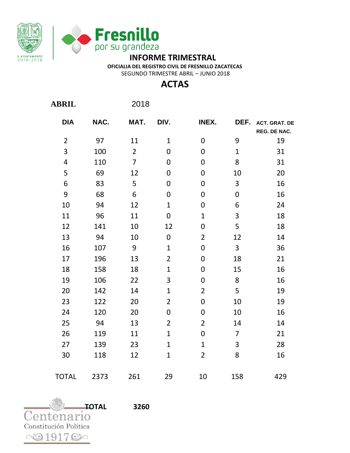



**OFICIALIA DEL REGISTRO CIVIL DE FRESNILLO ZACATECAS**

SEGUNDO TRIMESTRE ABRIL – JUNIO 2018

## **ACTAS**

| ABRIL          |      | 2018           |                  |                  |                |                                      |
|----------------|------|----------------|------------------|------------------|----------------|--------------------------------------|
| <b>DIA</b>     | NAC. | MAT.           | DIV.             | INEX.            | DEF.           | <b>ACT. GRAT. DE</b><br>REG. DE NAC. |
| $\overline{2}$ | 97   | 11             | $\mathbf{1}$     | $\overline{0}$   | 9              | 19                                   |
| 3              | 100  | $\overline{2}$ | 0                | $\mathbf 0$      | $\mathbf{1}$   | 31                                   |
| 4              | 110  | $\overline{7}$ | $\mathbf 0$      | $\overline{0}$   | 8              | 31                                   |
| 5              | 69   | 12             | $\overline{0}$   | $\overline{0}$   | 10             | 20                                   |
| 6              | 83   | 5              | 0                | 0                | 3              | 16                                   |
| 9              | 68   | 6              | 0                | 0                | $\overline{0}$ | 16                                   |
| 10             | 94   | 12             | $\mathbf{1}$     | $\overline{0}$   | 6              | 24                                   |
| 11             | 96   | 11             | $\mathbf 0$      | $\mathbf{1}$     | 3              | 18                                   |
| 12             | 141  | 10             | 12               | $\mathbf 0$      | 5              | 18                                   |
| 13             | 94   | 10             | $\boldsymbol{0}$ | $\overline{2}$   | 12             | 14                                   |
| 16             | 107  | 9              | $\mathbf{1}$     | $\overline{0}$   | 3              | 36                                   |
| 17             | 196  | 13             | $\overline{2}$   | $\overline{0}$   | 18             | 21                                   |
| 18             | 158  | 18             | $\mathbf{1}$     | $\overline{0}$   | 15             | 16                                   |
| 19             | 106  | 22             | 3                | $\overline{0}$   | 8              | 16                                   |
| 20             | 142  | 14             | $\mathbf{1}$     | $\overline{2}$   | 5              | 19                                   |
| 23             | 122  | 20             | $\overline{2}$   | $\overline{0}$   | 10             | 19                                   |
| 24             | 120  | 20             | $\mathbf 0$      | $\overline{0}$   | 10             | 16                                   |
| 25             | 94   | 13             | $\overline{2}$   | $\overline{2}$   | 14             | 14                                   |
| 26             | 119  | 11             | $\mathbf{1}$     | $\boldsymbol{0}$ | $\overline{7}$ | 21                                   |
| 27             | 139  | 23             | $\mathbf{1}$     | $\mathbf{1}$     | 3              | 28                                   |
| 30             | 118  | 12             | $\mathbf{1}$     | $\overline{2}$   | 8              | 16                                   |
| <b>TOTAL</b>   | 2373 | 261            | 29               | 10               | 158            | 429                                  |

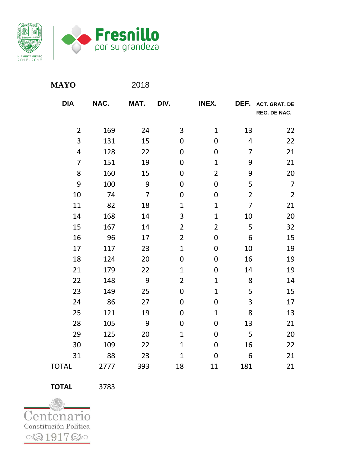

| <b>MAYO</b>    |      | 2018           |                |                |                |                                      |
|----------------|------|----------------|----------------|----------------|----------------|--------------------------------------|
| <b>DIA</b>     | NAC. | MAT.           | DIV.           | INEX.          | DEF.           | <b>ACT. GRAT. DE</b><br>REG. DE NAC. |
| $\overline{2}$ | 169  | 24             | 3              | $\mathbf{1}$   | 13             | 22                                   |
| 3              | 131  | 15             | $\mathbf 0$    | 0              | $\overline{4}$ | 22                                   |
| 4              | 128  | 22             | $\mathbf 0$    | $\overline{0}$ | $\overline{7}$ | 21                                   |
| $\overline{7}$ | 151  | 19             | $\mathbf 0$    | $\mathbf{1}$   | 9              | 21                                   |
| 8              | 160  | 15             | $\mathbf 0$    | $\overline{2}$ | 9              | 20                                   |
| 9              | 100  | 9              | $\mathbf 0$    | 0              | 5              | $\overline{7}$                       |
| 10             | 74   | $\overline{7}$ | $\mathbf 0$    | $\overline{0}$ | $\overline{2}$ | $\overline{2}$                       |
| 11             | 82   | 18             | $\mathbf{1}$   | $\mathbf{1}$   | $\overline{7}$ | 21                                   |
| 14             | 168  | 14             | 3              | $\mathbf{1}$   | 10             | 20                                   |
| 15             | 167  | 14             | $\overline{2}$ | $\overline{2}$ | 5              | 32                                   |
| 16             | 96   | 17             | $\overline{2}$ | $\overline{0}$ | 6              | 15                                   |
| 17             | 117  | 23             | $\mathbf{1}$   | $\overline{0}$ | 10             | 19                                   |
| 18             | 124  | 20             | $\mathbf 0$    | 0              | 16             | 19                                   |
| 21             | 179  | 22             | $\mathbf{1}$   | 0              | 14             | 19                                   |
| 22             | 148  | 9              | $\overline{2}$ | $\mathbf{1}$   | 8              | 14                                   |
| 23             | 149  | 25             | $\mathbf 0$    | $\mathbf{1}$   | 5              | 15                                   |
| 24             | 86   | 27             | 0              | 0              | 3              | 17                                   |
| 25             | 121  | 19             | $\mathbf 0$    | $\mathbf{1}$   | 8              | 13                                   |
| 28             | 105  | 9              | $\mathbf 0$    | 0              | 13             | 21                                   |
| 29             | 125  | 20             | $\mathbf 1$    | $\overline{0}$ | 5              | 20                                   |
| 30             | 109  | 22             | $\mathbf 1$    | 0              | 16             | 22                                   |
| 31             | 88   | 23             | $\mathbf{1}$   | $\mathbf 0$    | 6              | 21                                   |
| <b>TOTAL</b>   | 2777 | 393            | 18             | 11             | 181            | 21                                   |

**TOTAL** 3783

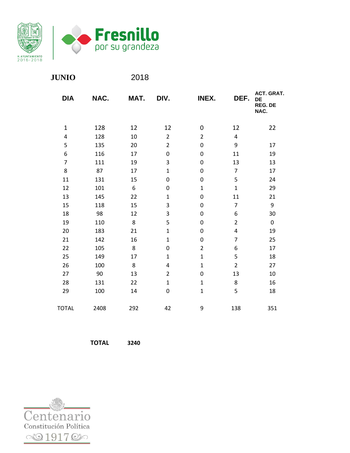

**JUNIO** 2018

 **DIA NAC. MAT. DIV. INEX. DEF. ACT. GRAT. DE REG. DE NAC.** 128 12 12 0 12 22 128 10 2 2 4 135 20 2 0 9 17 116 17 0 0 11 19 111 19 3 0 13 13 87 17 1 0 7 17 131 15 0 0 5 24 101 6 0 1 1 29 145 22 1 0 11 21 118 15 3 0 7 9 98 12 3 0 6 30 110 8 5 0 2 0 183 21 1 0 4 19 142 16 1 0 7 25 105 8 0 2 6 17 149 17 1 1 5 18 100 8 4 1 2 27 90 13 2 0 13 10 131 22 1 1 8 16 100 14 0 1 5 18 TOTAL 2408 292 42 9 138 351

**TOTAL 3240**

entenario Constitución Política  $\mathcal{O}$  $\odot$  $\sim$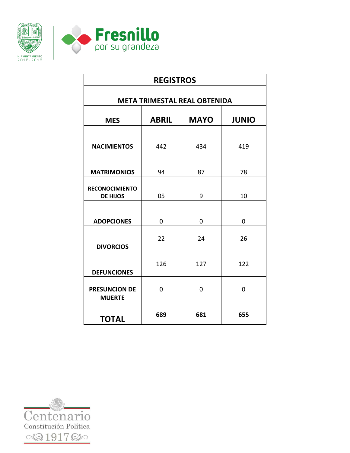

| <b>REGISTROS</b>                                          |          |     |     |  |
|-----------------------------------------------------------|----------|-----|-----|--|
| <b>META TRIMESTAL REAL OBTENIDA</b>                       |          |     |     |  |
| <b>JUNIO</b><br><b>ABRIL</b><br><b>MAYO</b><br><b>MES</b> |          |     |     |  |
| <b>NACIMIENTOS</b>                                        | 442      | 434 | 419 |  |
| <b>MATRIMONIOS</b>                                        | 94       | 87  | 78  |  |
| <b>RECONOCIMIENTO</b><br><b>DE HIJOS</b>                  | 05       | 9   | 10  |  |
| <b>ADOPCIONES</b>                                         | 0        | 0   | 0   |  |
| <b>DIVORCIOS</b>                                          | 22       | 24  | 26  |  |
| <b>DEFUNCIONES</b>                                        | 126      | 127 | 122 |  |
| <b>PRESUNCION DE</b><br><b>MUERTE</b>                     | $\Omega$ | 0   | 0   |  |
| <b>TOTAL</b>                                              | 689      | 681 | 655 |  |